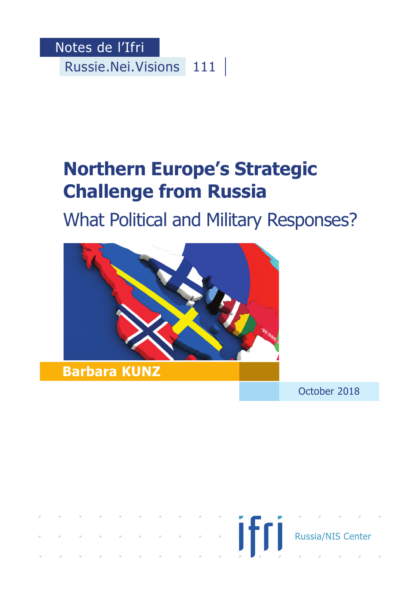Notes de l'Ifri Russie.Nei.Visions 111

# **Northern Europe's Strategic Challenge from Russia**

What Political and Military Responses?



October 2018

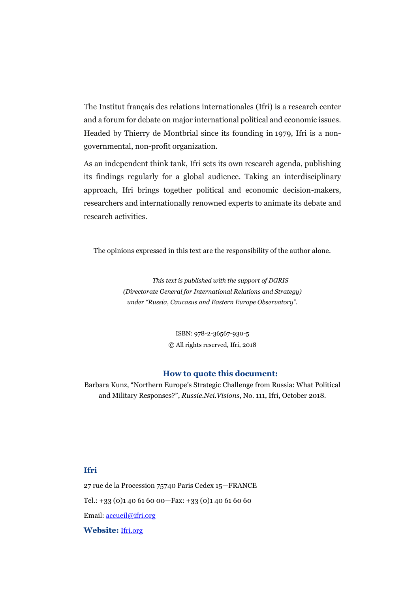The Institut français des relations internationales (Ifri) is a research center and a forum for debate on major international political and economic issues. Headed by Thierry de Montbrial since its founding in 1979, Ifri is a nongovernmental, non-profit organization.

As an independent think tank, Ifri sets its own research agenda, publishing its findings regularly for a global audience. Taking an interdisciplinary approach, Ifri brings together political and economic decision-makers, researchers and internationally renowned experts to animate its debate and research activities.

The opinions expressed in this text are the responsibility of the author alone.

*This text is published with the support of DGRIS (Directorate General for International Relations and Strategy) under "Russia, Caucasus and Eastern Europe Observatory".*

> ISBN: 978-2-36567-930-5 © All rights reserved, Ifri, 2018

#### **How to quote this document:**

Barbara Kunz, "Northern Europe's Strategic Challenge from Russia: What Political and Military Responses?", *Russie.Nei.Visions*, No. 111, Ifri, October 2018.

#### **Ifri**

27 rue de la Procession 75740 Paris Cedex 15—FRANCE Tel.: +33 (0)1 40 61 60 00—Fax: +33 (0)1 40 61 60 60 Email: [accueil@ifri.org](mailto:accueil@ifri.org) **Website:** [Ifri.org](https://www.ifri.org/)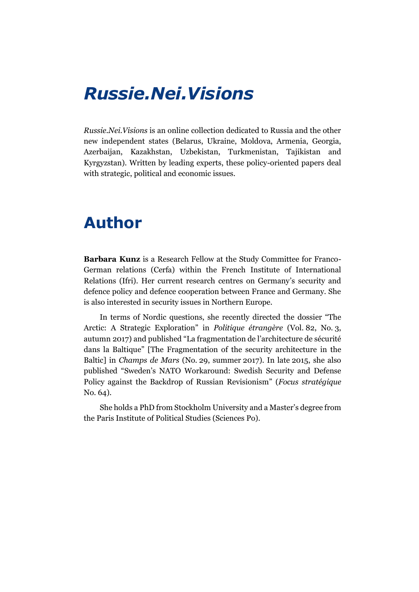### *Russie.Nei.Visions*

*Russie.Nei.Visions* is an online collection dedicated to Russia and the other new independent states (Belarus, Ukraine, Moldova, Armenia, Georgia, Azerbaijan, Kazakhstan, Uzbekistan, Turkmenistan, Tajikistan and Kyrgyzstan). Written by leading experts, these policy-oriented papers deal with strategic, political and economic issues.

### **Author**

**Barbara Kunz** is a Research Fellow at the Study Committee for Franco-German relations (Cerfa) within the French Institute of International Relations (Ifri). Her current research centres on Germany's security and defence policy and defence cooperation between France and Germany. She is also interested in security issues in Northern Europe.

In terms of Nordic questions, she recently directed the dossier "The Arctic: A Strategic Exploration" in *Politique étrangère* (Vol. 82, No. 3, autumn 2017) and published "La fragmentation de l'architecture de sécurité dans la Baltique" [The Fragmentation of the security architecture in the Baltic] in *Champs de Mars* (No. 29, summer 2017). In late 2015, she also published "Sweden's NATO Workaround: Swedish Security and Defense Policy against the Backdrop of Russian Revisionism" (*Focus stratégique* No. 64).

She holds a PhD from Stockholm University and a Master's degree from the Paris Institute of Political Studies (Sciences Po).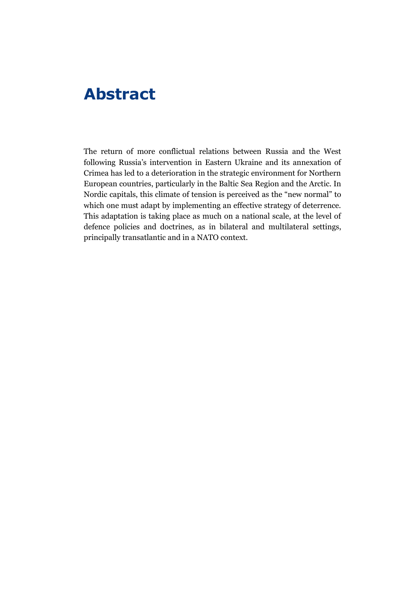### **Abstract**

The return of more conflictual relations between Russia and the West following Russia's intervention in Eastern Ukraine and its annexation of Crimea has led to a deterioration in the strategic environment for Northern European countries, particularly in the Baltic Sea Region and the Arctic. In Nordic capitals, this climate of tension is perceived as the "new normal" to which one must adapt by implementing an effective strategy of deterrence. This adaptation is taking place as much on a national scale, at the level of defence policies and doctrines, as in bilateral and multilateral settings, principally transatlantic and in a NATO context.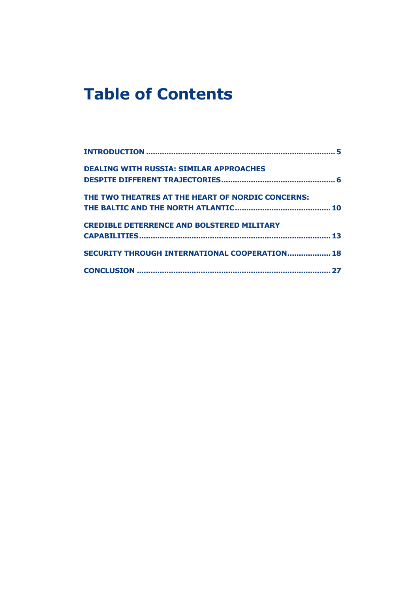## **Table of Contents**

| <b>DEALING WITH RUSSIA: SIMILAR APPROACHES</b>    |
|---------------------------------------------------|
|                                                   |
| THE TWO THEATRES AT THE HEART OF NORDIC CONCERNS: |
|                                                   |
| <b>CREDIBLE DETERRENCE AND BOLSTERED MILITARY</b> |
|                                                   |
| SECURITY THROUGH INTERNATIONAL COOPERATION 18     |
|                                                   |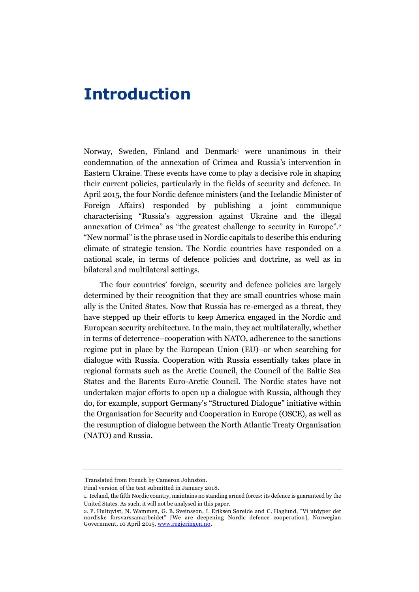### <span id="page-5-0"></span>**Introduction**

Norway, Sweden, Finland and Denmark<sup>1</sup> were unanimous in their condemnation of the annexation of Crimea and Russia's intervention in Eastern Ukraine. These events have come to play a decisive role in shaping their current policies, particularly in the fields of security and defence. In April 2015, the four Nordic defence ministers (and the Icelandic Minister of Foreign Affairs) responded by publishing a joint communique characterising "Russia's aggression against Ukraine and the illegal annexation of Crimea" as "the greatest challenge to security in Europe". 2 "New normal" is the phrase used in Nordic capitals to describe this enduring climate of strategic tension. The Nordic countries have responded on a national scale, in terms of defence policies and doctrine, as well as in bilateral and multilateral settings.

The four countries' foreign, security and defence policies are largely determined by their recognition that they are small countries whose main ally is the United States. Now that Russia has re-emerged as a threat, they have stepped up their efforts to keep America engaged in the Nordic and European security architecture. In the main, they act multilaterally, whether in terms of deterrence–cooperation with NATO, adherence to the sanctions regime put in place by the European Union (EU)–or when searching for dialogue with Russia. Cooperation with Russia essentially takes place in regional formats such as the Arctic Council, the Council of the Baltic Sea States and the Barents Euro-Arctic Council. The Nordic states have not undertaken major efforts to open up a dialogue with Russia, although they do, for example, support Germany's "Structured Dialogue" initiative within the Organisation for Security and Cooperation in Europe (OSCE), as well as the resumption of dialogue between the North Atlantic Treaty Organisation (NATO) and Russia.

Translated from French by Cameron Johnston.

Final version of the text submitted in January 2018.

<sup>1.</sup> Iceland, the fifth Nordic country, maintains no standing armed forces: its defence is guaranteed by the United States. As such, it will not be analysed in this paper.

<sup>2.</sup> P. Hultqvist, N. Wammen, G. B. Sveinsson, I. Eriksen Søreide and C. Haglund, "Vi utdyper det nordiske forsvarssamarbeidet" [We are deepening Nordic defence cooperation], Norwegian Government, 10 April 2015, [www.regjeringen.no.](https://www.regjeringen.no/no/aktuelt/vi-utdyper-det-nordiske-forsvarssamarbeidet/id2404378/)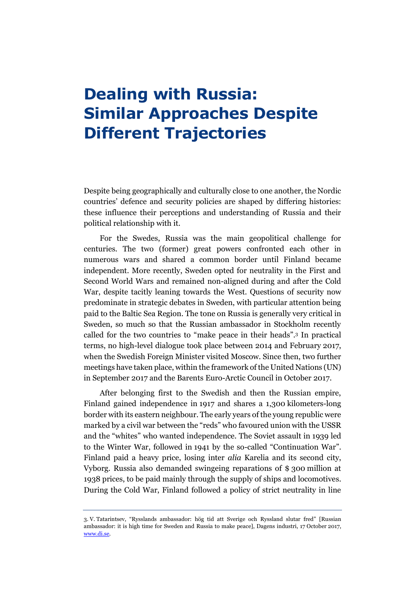### <span id="page-6-0"></span>**Dealing with Russia: Similar Approaches Despite Different Trajectories**

Despite being geographically and culturally close to one another, the Nordic countries' defence and security policies are shaped by differing histories: these influence their perceptions and understanding of Russia and their political relationship with it.

For the Swedes, Russia was the main geopolitical challenge for centuries. The two (former) great powers confronted each other in numerous wars and shared a common border until Finland became independent. More recently, Sweden opted for neutrality in the First and Second World Wars and remained non-aligned during and after the Cold War, despite tacitly leaning towards the West. Questions of security now predominate in strategic debates in Sweden, with particular attention being paid to the Baltic Sea Region. The tone on Russia is generally very critical in Sweden, so much so that the Russian ambassador in Stockholm recently called for the two countries to "make peace in their heads". <sup>3</sup> In practical terms, no high-level dialogue took place between 2014 and February 2017, when the Swedish Foreign Minister visited Moscow. Since then, two further meetings have taken place, within the framework of the United Nations (UN) in September 2017 and the Barents Euro-Arctic Council in October 2017.

After belonging first to the Swedish and then the Russian empire, Finland gained independence in 1917 and shares a 1,300 kilometers-long border with its eastern neighbour. The early years of the young republic were marked by a civil war between the "reds" who favoured union with the USSR and the "whites" who wanted independence. The Soviet assault in 1939 led to the Winter War, followed in 1941 by the so-called "Continuation War". Finland paid a heavy price, losing inter *alia* Karelia and its second city, Vyborg. Russia also demanded swingeing reparations of \$ 300 million at 1938 prices, to be paid mainly through the supply of ships and locomotives. During the Cold War, Finland followed a policy of strict neutrality in line

<sup>3.</sup> V. Tatarintsev, "Rysslands ambassador: hög tid att Sverige och Ryssland slutar fred" [Russian ambassador: it is high time for Sweden and Russia to make peace], Dagens industri, 17 October 2017, [www.di.se.](https://www.di.se/debatt/rysslands-ambassador-hog-tid-att-sverige-och-ryssland-sluter-fred/)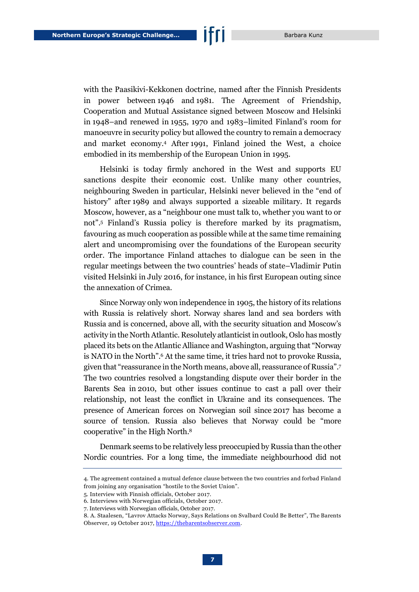with the Paasikivi-Kekkonen doctrine, named after the Finnish Presidents in power between 1946 and 1981. The Agreement of Friendship, Cooperation and Mutual Assistance signed between Moscow and Helsinki in 1948–and renewed in 1955, 1970 and 1983–limited Finland's room for manoeuvre in security policy but allowed the country to remain a democracy and market economy.<sup>4</sup> After 1991, Finland joined the West, a choice embodied in its membership of the European Union in 1995.

Helsinki is today firmly anchored in the West and supports EU sanctions despite their economic cost. Unlike many other countries, neighbouring Sweden in particular, Helsinki never believed in the "end of history" after 1989 and always supported a sizeable military. It regards Moscow, however, as a "neighbour one must talk to, whether you want to or not". <sup>5</sup> Finland's Russia policy is therefore marked by its pragmatism, favouring as much cooperation as possible while at the same time remaining alert and uncompromising over the foundations of the European security order. The importance Finland attaches to dialogue can be seen in the regular meetings between the two countries' heads of state–Vladimir Putin visited Helsinki in July 2016, for instance, in his first European outing since the annexation of Crimea.

Since Norway only won independence in 1905, the history of its relations with Russia is relatively short. Norway shares land and sea borders with Russia and is concerned, above all, with the security situation and Moscow's activity in the North Atlantic. Resolutely atlanticist in outlook, Oslo has mostly placed its bets on the Atlantic Alliance and Washington, arguing that "Norway is NATO in the North". <sup>6</sup> At the same time, it tries hard not to provoke Russia, given that "reassurance in the North means, above all, reassurance of Russia". 7 The two countries resolved a longstanding dispute over their border in the Barents Sea in 2010, but other issues continue to cast a pall over their relationship, not least the conflict in Ukraine and its consequences. The presence of American forces on Norwegian soil since 2017 has become a source of tension. Russia also believes that Norway could be "more cooperative" in the High North.<sup>8</sup>

Denmark seems to be relatively less preoccupied by Russia than the other Nordic countries. For a long time, the immediate neighbourhood did not

<sup>4.</sup> The agreement contained a mutual defence clause between the two countries and forbad Finland from joining any organisation "hostile to the Soviet Union".

<sup>5.</sup> Interview with Finnish officials, October 2017.

<sup>6.</sup> Interviews with Norwegian officials, October 2017.

<sup>7.</sup> Interviews with Norwegian officials, October 2017.

<sup>8.</sup> A. Staalesen, "Lavrov Attacks Norway, Says Relations on Svalbard Could Be Better", The Barents Observer, 19 October 2017[, https://thebarentsobserver.com.](https://thebarentsobserver.com/en/arctic/2017/10/lavrov-attacks-norway-over-svalbard)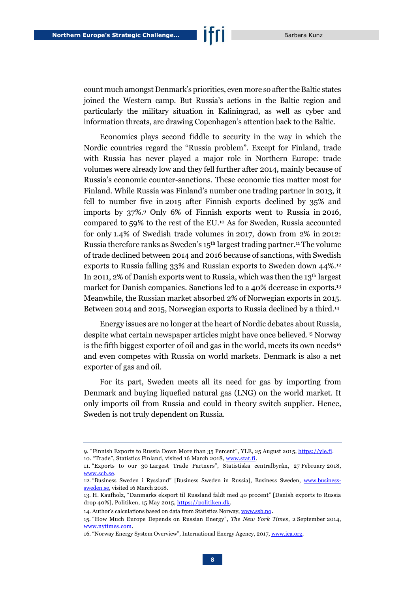count much amongst Denmark's priorities, even more so after the Baltic states joined the Western camp. But Russia's actions in the Baltic region and particularly the military situation in Kaliningrad, as well as cyber and information threats, are drawing Copenhagen's attention back to the Baltic.

Economics plays second fiddle to security in the way in which the Nordic countries regard the "Russia problem". Except for Finland, trade with Russia has never played a major role in Northern Europe: trade volumes were already low and they fell further after 2014, mainly because of Russia's economic counter-sanctions. These economic ties matter most for Finland. While Russia was Finland's number one trading partner in 2013, it fell to number five in 2015 after Finnish exports declined by 35% and imports by 37%.<sup>9</sup> Only 6% of Finnish exports went to Russia in 2016, compared to 59% to the rest of the EU.<sup>10</sup> As for Sweden, Russia accounted for only 1.4% of Swedish trade volumes in 2017, down from 2% in 2012: Russia therefore ranks as Sweden's 15<sup>th</sup> largest trading partner.<sup>11</sup> The volume of trade declined between 2014 and 2016 because of sanctions, with Swedish exports to Russia falling 33% and Russian exports to Sweden down 44%.<sup>12</sup> In 2011, 2% of Danish exports went to Russia, which was then the 13<sup>th</sup> largest market for Danish companies. Sanctions led to a 40% decrease in exports.<sup>13</sup> Meanwhile, the Russian market absorbed 2% of Norwegian exports in 2015. Between 2014 and 2015, Norwegian exports to Russia declined by a third.<sup>14</sup>

Energy issues are no longer at the heart of Nordic debates about Russia, despite what certain newspaper articles might have once believed. <sup>15</sup> Norway is the fifth biggest exporter of oil and gas in the world, meets its own needs<sup>16</sup> and even competes with Russia on world markets. Denmark is also a net exporter of gas and oil.

For its part, Sweden meets all its need for gas by importing from Denmark and buying liquefied natural gas (LNG) on the world market. It only imports oil from Russia and could in theory switch supplier. Hence, Sweden is not truly dependent on Russia.

10. "Trade", Statistics Finland, visited 16 March 2018, [www.stat.fi.](http://www.stat.fi/tup/suoluk/suoluk_kotimaankauppa_en.html)

<sup>9.</sup> "Finnish Exports to Russia Down More than 35 Percent", YLE, 25 August 2015, [https://yle.fi.](https://yle.fi/uutiset/osasto/news/finnish_exports_to_russia_down_more_than_35_percent/8251837)

<sup>11.</sup> "Exports to our 30 Largest Trade Partners", Statistiska centralbyrån, 27 February 2018, [www.scb.se.](http://www.scb.se/en/finding-statistics/statistics-by-subject-area/trade-in-goods-and-services/foreign-trade/foreign-trade---exports-and-imports-of-goods/pong/tables-and-graphs/exports-to-our-30-largest-trade-partners/)

<sup>12.</sup> "Business Sweden i Ryssland" [Business Sweden in Russia], Business Sweden, [www.business](https://www.business-sweden.se/Export/marknader/europa/Ryssland/)[sweden.se,](https://www.business-sweden.se/Export/marknader/europa/Ryssland/) visited 16 March 2018.

<sup>13.</sup> H. Kaufholz, "Danmarks eksport til Russland faldt med 40 procent" [Danish exports to Russia drop 40%], Politiken, 15 May 2015, https://politiken.dk.

<sup>14.</sup> Author's calculations based on data from Statistics Norway, [www.ssb.no](https://www.ssb.no/en/utenriksokonomi/statistikker/muh/aar-forelopige).

<sup>15.</sup> "How Much Europe Depends on Russian Energy", *The New York Times*, 2 September 2014, [www.nytimes.com.](https://www.nytimes.com/interactive/2014/03/21/world/europe/how-much-europe-depends-on-russian-energy.html)

<sup>16. &</sup>quot;Norway Energy System Overview", International Energy Agency, 2017[, www.iea.org.](https://www.iea.org/media/countries/Norway.pdf)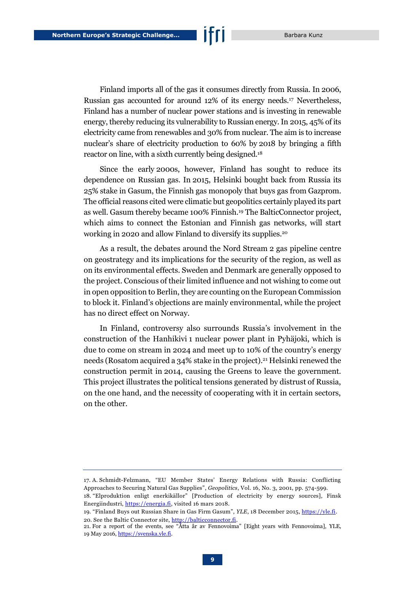Finland imports all of the gas it consumes directly from Russia. In 2006, Russian gas accounted for around 12% of its energy needs.<sup>17</sup> Nevertheless, Finland has a number of nuclear power stations and is investing in renewable energy, thereby reducing its vulnerability to Russian energy. In 2015, 45% of its electricity came from renewables and 30% from nuclear. The aim is to increase nuclear's share of electricity production to 60% by 2018 by bringing a fifth reactor on line, with a sixth currently being designed.<sup>18</sup>

Since the early 2000s, however, Finland has sought to reduce its dependence on Russian gas. In 2015, Helsinki bought back from Russia its 25% stake in Gasum, the Finnish gas monopoly that buys gas from Gazprom. The official reasons cited were climatic but geopolitics certainly played its part as well. Gasum thereby became 100% Finnish.<sup>19</sup> The BalticConnector project, which aims to connect the Estonian and Finnish gas networks, will start working in 2020 and allow Finland to diversify its supplies.<sup>20</sup>

As a result, the debates around the Nord Stream 2 gas pipeline centre on geostrategy and its implications for the security of the region, as well as on its environmental effects. Sweden and Denmark are generally opposed to the project. Conscious of their limited influence and not wishing to come out in open opposition to Berlin, they are counting on the European Commission to block it. Finland's objections are mainly environmental, while the project has no direct effect on Norway.

In Finland, controversy also surrounds Russia's involvement in the construction of the Hanhikivi 1 nuclear power plant in Pyhäjoki, which is due to come on stream in 2024 and meet up to 10% of the country's energy needs (Rosatom acquired a 34% stake in the project).<sup>21</sup> Helsinki renewed the construction permit in 2014, causing the Greens to leave the government. This project illustrates the political tensions generated by distrust of Russia, on the one hand, and the necessity of cooperating with it in certain sectors, on the other.

<sup>17.</sup> A. Schmidt-Felzmann, "EU Member States' Energy Relations with Russia: Conflicting Approaches to Securing Natural Gas Supplies", *Geopolitics*, Vol. 16, No. 3, 2001, pp. 574-599.

<sup>18.</sup> "Elproduktion enligt enerkikällor" [Production of electricity by energy sources], Finsk Energiindustri, [https://energia.fi,](https://energia.fi/sv/basfakta_om_energibranschen/energiproduktion/elproduktion) visited 16 mars 2018.

<sup>19.</sup> "Finland Buys out Russian Share in Gas Firm Gasum", *YLE*, 18 December 2015[, https://yle.fi.](https://yle.fi/uutiset/osasto/news/finland_buys_out_russian_share_in_gas_firm_gasum/8538762) 20. See the Baltic Connector site, [http://balticconnector.fi.](http://balticconnector.fi/en/)

<sup>21.</sup> For a report of the events, see "Åtta år av Fennovoima" [Eight years with Fennovoima], YLE*,* 19 May 2016[, https://svenska.yle.fi.](https://svenska.yle.fi/artikel/2015/10/16/atta-ar-av-fennovoima#finskt)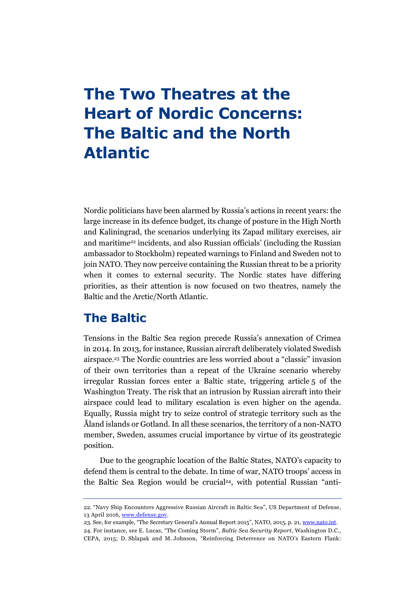## <span id="page-10-0"></span>**The Two Theatres at the Heart of Nordic Concerns: The Baltic and the North Atlantic**

Nordic politicians have been alarmed by Russia's actions in recent years: the large increase in its defence budget, its change of posture in the High North and Kaliningrad, the scenarios underlying its Zapad military exercises, air and maritime<sup>22</sup> incidents, and also Russian officials' (including the Russian ambassador to Stockholm) repeated warnings to Finland and Sweden not to join NATO. They now perceive containing the Russian threat to be a priority when it comes to external security. The Nordic states have differing priorities, as their attention is now focused on two theatres, namely the Baltic and the Arctic/North Atlantic.

#### **The Baltic**

Tensions in the Baltic Sea region precede Russia's annexation of Crimea in 2014. In 2013, for instance, Russian aircraft deliberately violated Swedish airspace.<sup>23</sup> The Nordic countries are less worried about a "classic" invasion of their own territories than a repeat of the Ukraine scenario whereby irregular Russian forces enter a Baltic state, triggering article 5 of the Washington Treaty. The risk that an intrusion by Russian aircraft into their airspace could lead to military escalation is even higher on the agenda. Equally, Russia might try to seize control of strategic territory such as the Åland islands or Gotland. In all these scenarios, the territory of a non-NATO member, Sweden, assumes crucial importance by virtue of its geostrategic position.

Due to the geographic location of the Baltic States, NATO's capacity to defend them is central to the debate. In time of war, NATO troops' access in the Baltic Sea Region would be crucial<sup>24</sup>, with potential Russian "anti-

<sup>22.</sup> "Navy Ship Encounters Aggressive Russian Aircraft in Baltic Sea", US Department of Defense, 13 April 2016, [www.defense.gov.](https://www.defense.gov/News/Article/Article/720536/navy-ship-encounters-aggressive-russian-aircraft-in-baltic-sea/)

<sup>23.</sup> See, for example, "The Secretary General's Annual Report 2015", NATO, 2015, p. 21[, www.nato.int.](https://www.nato.int/nato_static_fl2014/assets/pdf/pdf_2016_01/20160128_SG_AnnualReport_2015_en.pdf)

<sup>24.</sup> For instance, see E. Lucas, "The Coming Storm", *Baltic Sea Security Report*, Washington D.C., CEPA, 2015; D. Shlapak and M. Johnson, "Reinforcing Deterrence on NATO's Eastern Flank: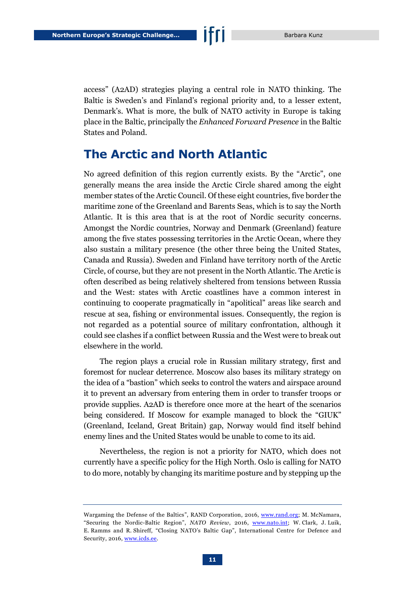access" (A2AD) strategies playing a central role in NATO thinking. The Baltic is Sweden's and Finland's regional priority and, to a lesser extent, Denmark's. What is more, the bulk of NATO activity in Europe is taking place in the Baltic, principally the *Enhanced Forward Presence* in the Baltic States and Poland.

#### **The Arctic and North Atlantic**

No agreed definition of this region currently exists. By the "Arctic", one generally means the area inside the Arctic Circle shared among the eight member states of the Arctic Council. Of these eight countries, five border the maritime zone of the Greenland and Barents Seas, which is to say the North Atlantic. It is this area that is at the root of Nordic security concerns. Amongst the Nordic countries, Norway and Denmark (Greenland) feature among the five states possessing territories in the Arctic Ocean, where they also sustain a military presence (the other three being the United States, Canada and Russia). Sweden and Finland have territory north of the Arctic Circle, of course, but they are not present in the North Atlantic. The Arctic is often described as being relatively sheltered from tensions between Russia and the West: states with Arctic coastlines have a common interest in continuing to cooperate pragmatically in "apolitical" areas like search and rescue at sea, fishing or environmental issues. Consequently, the region is not regarded as a potential source of military confrontation, although it could see clashes if a conflict between Russia and the West were to break out elsewhere in the world.

The region plays a crucial role in Russian military strategy, first and foremost for nuclear deterrence. Moscow also bases its military strategy on the idea of a "bastion" which seeks to control the waters and airspace around it to prevent an adversary from entering them in order to transfer troops or provide supplies. A2AD is therefore once more at the heart of the scenarios being considered. If Moscow for example managed to block the "GIUK" (Greenland, Iceland, Great Britain) gap, Norway would find itself behind enemy lines and the United States would be unable to come to its aid.

Nevertheless, the region is not a priority for NATO, which does not currently have a specific policy for the High North. Oslo is calling for NATO to do more, notably by changing its maritime posture and by stepping up the

Wargaming the Defense of the Baltics", RAND Corporation, 2016, [www.rand.org;](http://www.rand.org/pubs/research_reports/RR1253.html) M. McNamara, "Securing the Nordic-Baltic Region", *NATO Review*, 2016, [www.nato.int;](http://www.nato.int/docu/review/2016/Also-in-2016/security-baltic-defense-nato/EN/index.htm) W. Clark, J. Luik, E. Ramms and R. Shireff, "Closing NATO's Baltic Gap", International Centre for Defence and Security, 2016[, www.icds.ee.](http://www.icds.ee/fileadmin/media/icds.ee/failid/ICDS_Report-Closing_NATO_s_Baltic_Gap.pdf)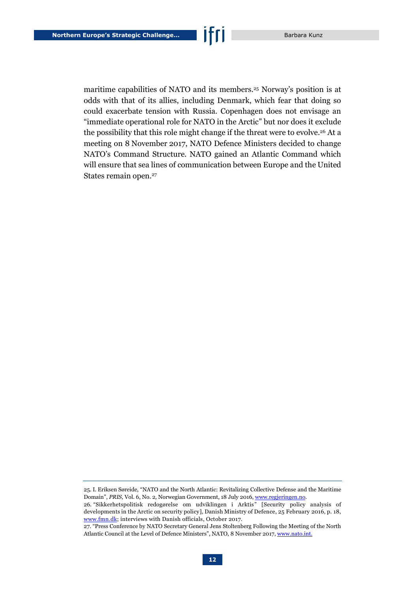maritime capabilities of NATO and its members.<sup>25</sup> Norway's position is at odds with that of its allies, including Denmark, which fear that doing so could exacerbate tension with Russia. Copenhagen does not envisage an "immediate operational role for NATO in the Arctic" but nor does it exclude the possibility that this role might change if the threat were to evolve.<sup>26</sup> At a meeting on 8 November 2017, NATO Defence Ministers decided to change NATO's Command Structure. NATO gained an Atlantic Command which will ensure that sea lines of communication between Europe and the United States remain open.<sup>27</sup>

<sup>25.</sup> I. Eriksen Søreide, "NATO and the North Atlantic: Revitalizing Collective Defense and the Maritime Domain", *PRIS,* Vol. 6, No. 2*,* Norwegian Government, 18 July 2016[, www.regjeringen.no.](https://www.regjeringen.no/no/aktuelt/prism/id2508886/)

<sup>26.</sup> "Sikkerhetspolitisk redogørelse om udviklingen i Arktis" [Security policy analysis of developments in the Arctic on security policy], Danish Ministry of Defence, 25 February 2016, p. 18, [www.fmn.dk;](http://www.fmn.dk/nyheder/Documents/arktis-analyse/bilag2-Sikkerhedspolitisk-redegoerelse-om-udviklingen-i-arktis.pdf) interviews with Danish officials, October 2017.

<sup>27.</sup> "Press Conference by NATO Secretary General Jens Stoltenberg Following the Meeting of the North Atlantic Council at the Level of Defence Ministers", NATO, 8 November 2017[, www.nato.int.](https://www.nato.int/cps/en/natohq/opinions_148417.htm)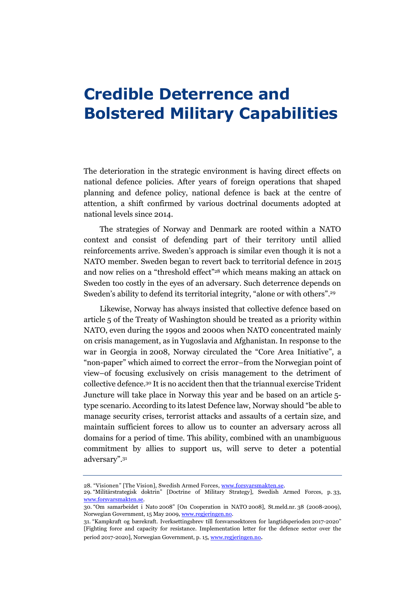### <span id="page-13-0"></span>**Credible Deterrence and Bolstered Military Capabilities**

The deterioration in the strategic environment is having direct effects on national defence policies. After years of foreign operations that shaped planning and defence policy, national defence is back at the centre of attention, a shift confirmed by various doctrinal documents adopted at national levels since 2014.

The strategies of Norway and Denmark are rooted within a NATO context and consist of defending part of their territory until allied reinforcements arrive. Sweden's approach is similar even though it is not a NATO member. Sweden began to revert back to territorial defence in 2015 and now relies on a "threshold effect" <sup>28</sup> which means making an attack on Sweden too costly in the eyes of an adversary. Such deterrence depends on Sweden's ability to defend its territorial integrity, "alone or with others". 29

Likewise, Norway has always insisted that collective defence based on article 5 of the Treaty of Washington should be treated as a priority within NATO, even during the 1990s and 2000s when NATO concentrated mainly on crisis management, as in Yugoslavia and Afghanistan. In response to the war in Georgia in 2008, Norway circulated the "Core Area Initiative", a "non-paper" which aimed to correct the error–from the Norwegian point of view–of focusing exclusively on crisis management to the detriment of collective defence.<sup>30</sup> It is no accident then that the triannual exercise Trident Juncture will take place in Norway this year and be based on an article 5 type scenario. According to its latest Defence law, Norway should "be able to manage security crises, terrorist attacks and assaults of a certain size, and maintain sufficient forces to allow us to counter an adversary across all domains for a period of time. This ability, combined with an unambiguous commitment by allies to support us, will serve to deter a potential adversary". 31

<sup>28.</sup> "Visionen" [The Vision], Swedish Armed Forces[, www.forsvarsmakten.se.](http://www.forsvarsmakten.se/sv/om-myndigheten/vara-varderingar/vision/)

<sup>29.</sup> "Militärstrategisk doktrin" [Doctrine of Military Strategy], Swedish Armed Forces, p. 33, [www.forsvarsmakten.se.](http://www.forsvarsmakten.se/siteassets/4-om-myndigheten/dokumentfiler/doktriner/militarstrategisk-doktrin-2016-ny.pdf)

<sup>30.</sup> "Om samarbeidet i Nato 2008" [On Cooperation in NATO 2008], St.meld.nr. 38 (2008-2009), Norwegian Government, 15 May 2009[, www.regjeringen.no.](https://www.regjeringen.no/no/dokumenter/stmeld-nr-38-2008-2009-/id561589/sec1)

<sup>31.</sup> "Kampkraft og bærekraft. Iverksettingsbrev till forsvarssektoren for langtidsperioden 2017-2020" [Fighting force and capacity for resistance. Implementation letter for the defence sector over the period 2017-2020], Norwegian Government, p. 15[, www.regjeringen.no](https://www.regjeringen.no/globalassets/departementene/fd/dokumenter/rapporter-og-regelverk/2016-12-20-u-ivb-ltp-2017-2020.pdf).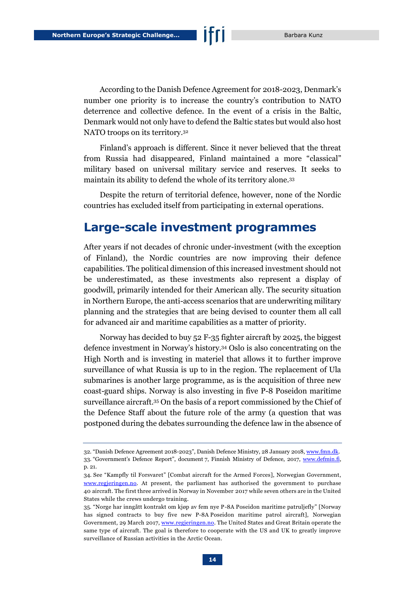According to the Danish Defence Agreement for 2018-2023, Denmark's number one priority is to increase the country's contribution to NATO deterrence and collective defence. In the event of a crisis in the Baltic, Denmark would not only have to defend the Baltic states but would also host NATO troops on its territory.<sup>32</sup>

Finland's approach is different. Since it never believed that the threat from Russia had disappeared, Finland maintained a more "classical" military based on universal military service and reserves. It seeks to maintain its ability to defend the whole of its territory alone.<sup>33</sup>

Despite the return of territorial defence, however, none of the Nordic countries has excluded itself from participating in external operations.

#### **Large-scale investment programmes**

After years if not decades of chronic under-investment (with the exception of Finland), the Nordic countries are now improving their defence capabilities. The political dimension of this increased investment should not be underestimated, as these investments also represent a display of goodwill, primarily intended for their American ally. The security situation in Northern Europe, the anti-access scenarios that are underwriting military planning and the strategies that are being devised to counter them all call for advanced air and maritime capabilities as a matter of priority.

Norway has decided to buy 52 F-35 fighter aircraft by 2025, the biggest defence investment in Norway's history.<sup>34</sup> Oslo is also concentrating on the High North and is investing in materiel that allows it to further improve surveillance of what Russia is up to in the region. The replacement of Ula submarines is another large programme, as is the acquisition of three new coast-guard ships. Norway is also investing in five P-8 Poseidon maritime surveillance aircraft.<sup>35</sup> On the basis of a report commissioned by the Chief of the Defence Staff about the future role of the army (a question that was postponed during the debates surrounding the defence law in the absence of

<sup>32.</sup> "Danish Defence Agreement 2018-2023", Danish Defence Ministry, 28 January 2018[, www.fmn.dk.](http://www.fmn.dk/temaer/forsvarsforlig/Documents/danish-defence-agreement-2018-2023-pdfa.pdf) 33. "Government's Defence Report", document 7, Finnish Ministry of Defence, 2017, [www.defmin.fi,](http://www.defmin.fi/files/3688/J07_2017_Governments_Defence_Report_Eng_PLM_160217.pdf)  p. 21.

<sup>34.</sup> See "Kampfly til Forsvaret" [Combat aircraft for the Armed Forces], Norwegian Government, [www.regjeringen.no.](https://www.regjeringen.no/no/tema/forsvar/innsikt/kampfly/id474117/) At present, the parliament has authorised the government to purchase 40 aircraft. The first three arrived in Norway in November 2017 while seven others are in the United States while the crews undergo training.

<sup>35.</sup> "Norge har inngått kontrakt om kjøp av fem nye P-8A Poseidon maritime patruljefly" [Norway has signed contracts to buy five new P-8A Poseidon maritime patrol aircraft], Norwegian Government, 29 March 2017[, www.regjeringen.no.](https://www.regjeringen.no/no/tema/forsvar/p-8a-poseidon/p-8a-poseidon/norge-har-inngatt-kontrakt-om-kjop-av-fem-nye-p-8a-poseidon-maritime-patruljefly/id2545872/) The United States and Great Britain operate the same type of aircraft. The goal is therefore to cooperate with the US and UK to greatly improve surveillance of Russian activities in the Arctic Ocean.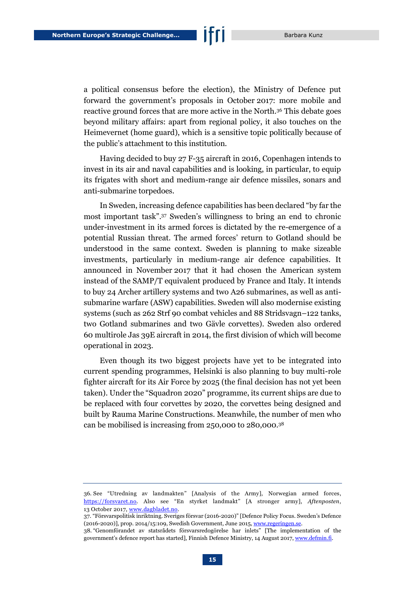a political consensus before the election), the Ministry of Defence put forward the government's proposals in October 2017: more mobile and reactive ground forces that are more active in the North.<sup>36</sup> This debate goes beyond military affairs: apart from regional policy, it also touches on the Heimevernet (home guard), which is a sensitive topic politically because of the public's attachment to this institution.

Having decided to buy 27 F-35 aircraft in 2016, Copenhagen intends to invest in its air and naval capabilities and is looking, in particular, to equip its frigates with short and medium-range air defence missiles, sonars and anti-submarine torpedoes.

In Sweden, increasing defence capabilities has been declared "by far the most important task". <sup>37</sup> Sweden's willingness to bring an end to chronic under-investment in its armed forces is dictated by the re-emergence of a potential Russian threat. The armed forces' return to Gotland should be understood in the same context. Sweden is planning to make sizeable investments, particularly in medium-range air defence capabilities. It announced in November 2017 that it had chosen the American system instead of the SAMP/T equivalent produced by France and Italy. It intends to buy 24 Archer artillery systems and two A26 submarines, as well as antisubmarine warfare (ASW) capabilities. Sweden will also modernise existing systems (such as 262 Strf 90 combat vehicles and 88 Stridsvagn–122 tanks, two Gotland submarines and two Gävle corvettes). Sweden also ordered 60 multirole Jas 39E aircraft in 2014, the first division of which will become operational in 2023.

Even though its two biggest projects have yet to be integrated into current spending programmes, Helsinki is also planning to buy multi-role fighter aircraft for its Air Force by 2025 (the final decision has not yet been taken). Under the "Squadron 2020" programme, its current ships are due to be replaced with four corvettes by 2020, the corvettes being designed and built by Rauma Marine Constructions. Meanwhile, the number of men who can be mobilised is increasing from 250,000 to 280,000.<sup>38</sup>

<sup>36.</sup> See "Utredning av landmakten" [Analysis of the Army], Norwegian armed forces, [https://forsvaret.no.](https://forsvaret.no/landmakt) Also see "En styrket landmakt" [A stronger army], *Aftenposten*, 13 October 2017[, www.dagbladet.no.](https://www.dagbladet.no/kultur/en-styrket-landmakt/68786738)

<sup>37.</sup> "Försvarspolitisk inriktning. Sveriges försvar (2016-2020)" [Defence Policy Focus. Sweden's Defence (2016-2020)], prop. 2014/15:109, Swedish Government, June 2015, www.regeringen.se

<sup>38.</sup> "Genomförandet av statsrådets försvarsredogörelse har inlets" [The implementation of the government's defence report has started], Finnish Defence Ministry, 14 August 2017[, www.defmin.fi.](http://www.defmin.fi/sv/aktuellt/pressmeddelanden?587_m=8660)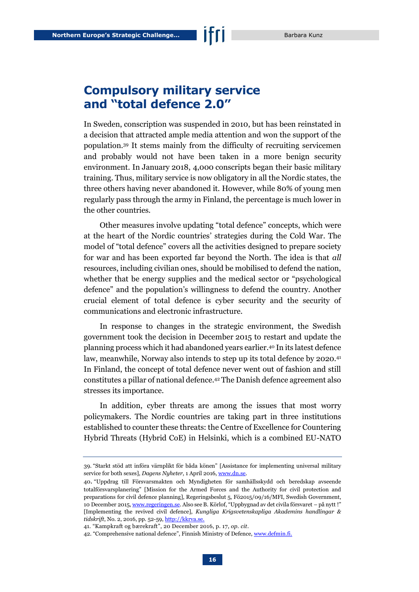#### **Compulsory military service and "total defence 2.0"**

In Sweden, conscription was suspended in 2010, but has been reinstated in a decision that attracted ample media attention and won the support of the population.<sup>39</sup> It stems mainly from the difficulty of recruiting servicemen and probably would not have been taken in a more benign security environment. In January 2018, 4,000 conscripts began their basic military training. Thus, military service is now obligatory in all the Nordic states, the three others having never abandoned it. However, while 80% of young men regularly pass through the army in Finland, the percentage is much lower in the other countries.

Other measures involve updating "total defence" concepts, which were at the heart of the Nordic countries' strategies during the Cold War. The model of "total defence" covers all the activities designed to prepare society for war and has been exported far beyond the North. The idea is that *all* resources, including civilian ones, should be mobilised to defend the nation, whether that be energy supplies and the medical sector or "psychological defence" and the population's willingness to defend the country. Another crucial element of total defence is cyber security and the security of communications and electronic infrastructure.

In response to changes in the strategic environment, the Swedish government took the decision in December 2015 to restart and update the planning process which it had abandoned years earlier.<sup>40</sup> In its latest defence law, meanwhile, Norway also intends to step up its total defence by 2020.<sup>41</sup> In Finland, the concept of total defence never went out of fashion and still constitutes a pillar of national defence.<sup>42</sup> The Danish defence agreement also stresses its importance.

In addition, cyber threats are among the issues that most worry policymakers. The Nordic countries are taking part in three institutions established to counter these threats: the Centre of Excellence for Countering Hybrid Threats (Hybrid CoE) in Helsinki, which is a combined EU-NATO

<sup>39.</sup> "Starkt stöd att införa värnplikt för båda könen" [Assistance for implementing universal military service for both sexes], *Dagens Nyheter*, 1 April 2016[, www.dn.se.](http://www.dn.se/nyheter/sverige/starkt-stod-att-infora-varnplikt-for-bada-konen/)

<sup>40</sup>. "Uppdrag till Försvarsmakten och Myndigheten för samhällsskydd och beredskap avseende totalförsvarsplanering" [Mission for the Armed Forces and the Authority for civil protection and preparations for civil defence planning], Regeringsbeslut 5, Fö2015/09/16/MFI, Swedish Government, 10 December 2015[, www.regeringen.se.](http://www.regeringen.se/4ab3dd/globalassets/regeringen/dokument/forsvarsdepartementet/regeringsbeslut/regeingsbeslut-5-2015_12_10-uppdrag-till-forsvarsmakten-och-msb-avseende-totalforsvarsplanering.pdf) Also see B. Körlof, "Uppbygnad av det civila försvaret – på nytt !" [Implementing the revived civil defence], *Kungliga Krigsvetenskapliga Akademins handlingar & tidskrift*, No. 2, 2016, pp. 52-59, [http://kkrva.se.](http://kkrva.se/hot/2016:2/korlof_uppbyggnadav.pdf)

<sup>41.</sup> "Kampkraft og bærekraft", 20 December 2016, p. 17, *op. cit*.

<sup>42. &</sup>quot;Comprehensive national defence", Finnish Ministry of Defence[, www.defmin.fi.](https://www.defmin.fi/en/tasks_and_activities/comprehensive_national_defence)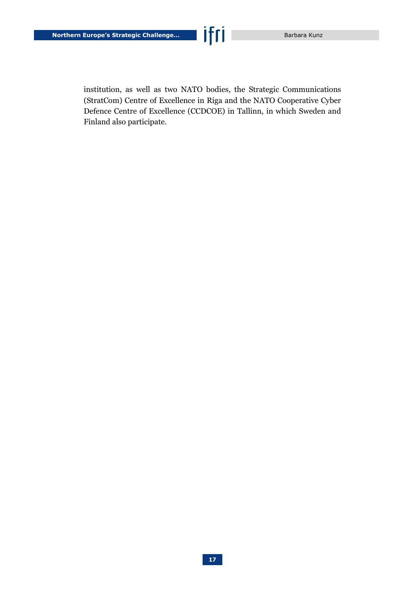institution, as well as two NATO bodies, the Strategic Communications (StratCom) Centre of Excellence in Riga and the NATO Cooperative Cyber Defence Centre of Excellence (CCDCOE) in Tallinn, in which Sweden and Finland also participate.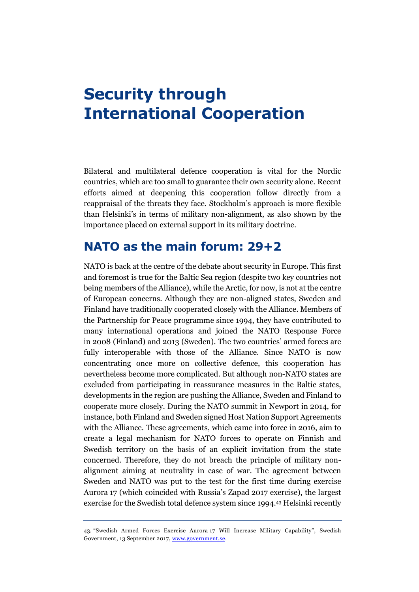### <span id="page-18-0"></span>**Security through International Cooperation**

Bilateral and multilateral defence cooperation is vital for the Nordic countries, which are too small to guarantee their own security alone. Recent efforts aimed at deepening this cooperation follow directly from a reappraisal of the threats they face. Stockholm's approach is more flexible than Helsinki's in terms of military non-alignment, as also shown by the importance placed on external support in its military doctrine.

#### **NATO as the main forum: 29+2**

NATO is back at the centre of the debate about security in Europe. This first and foremost is true for the Baltic Sea region (despite two key countries not being members of the Alliance), while the Arctic, for now, is not at the centre of European concerns. Although they are non-aligned states, Sweden and Finland have traditionally cooperated closely with the Alliance. Members of the Partnership for Peace programme since 1994, they have contributed to many international operations and joined the NATO Response Force in 2008 (Finland) and 2013 (Sweden). The two countries' armed forces are fully interoperable with those of the Alliance. Since NATO is now concentrating once more on collective defence, this cooperation has nevertheless become more complicated. But although non-NATO states are excluded from participating in reassurance measures in the Baltic states, developments in the region are pushing the Alliance, Sweden and Finland to cooperate more closely. During the NATO summit in Newport in 2014, for instance, both Finland and Sweden signed Host Nation Support Agreements with the Alliance. These agreements, which came into force in 2016, aim to create a legal mechanism for NATO forces to operate on Finnish and Swedish territory on the basis of an explicit invitation from the state concerned. Therefore, they do not breach the principle of military nonalignment aiming at neutrality in case of war. The agreement between Sweden and NATO was put to the test for the first time during exercise Aurora 17 (which coincided with Russia's Zapad 2017 exercise), the largest exercise for the Swedish total defence system since 1994.<sup>43</sup> Helsinki recently

<sup>43.</sup> "Swedish Armed Forces Exercise Aurora 17 Will Increase Military Capability", Swedish Government, 13 September 2017[, www.government.se.](http://www.government.se/articles/2017/09/swedish-armed-forces-exercise-aurora-17-will-increase-military-capability/)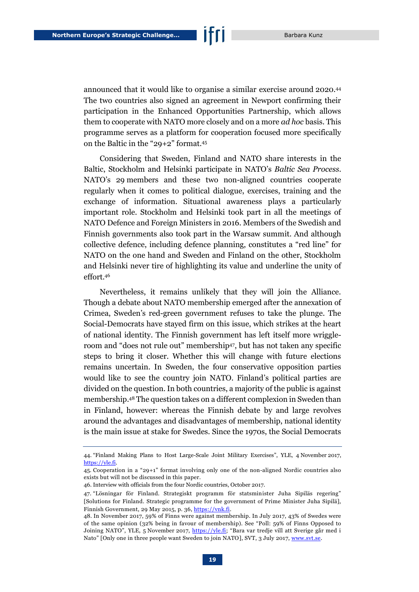announced that it would like to organise a similar exercise around 2020.<sup>44</sup> The two countries also signed an agreement in Newport confirming their participation in the Enhanced Opportunities Partnership, which allows them to cooperate with NATO more closely and on a more *ad hoc* basis. This programme serves as a platform for cooperation focused more specifically on the Baltic in the "29+2" format.<sup>45</sup>

Considering that Sweden, Finland and NATO share interests in the Baltic, Stockholm and Helsinki participate in NATO's *Baltic Sea Process*. NATO's 29 members and these two non-aligned countries cooperate regularly when it comes to political dialogue, exercises, training and the exchange of information. Situational awareness plays a particularly important role. Stockholm and Helsinki took part in all the meetings of NATO Defence and Foreign Ministers in 2016. Members of the Swedish and Finnish governments also took part in the Warsaw summit. And although collective defence, including defence planning, constitutes a "red line" for NATO on the one hand and Sweden and Finland on the other, Stockholm and Helsinki never tire of highlighting its value and underline the unity of effort. 46

Nevertheless, it remains unlikely that they will join the Alliance. Though a debate about NATO membership emerged after the annexation of Crimea, Sweden's red-green government refuses to take the plunge. The Social-Democrats have stayed firm on this issue, which strikes at the heart of national identity. The Finnish government has left itself more wriggleroom and "does not rule out" membership<sup>47</sup>, but has not taken any specific steps to bring it closer. Whether this will change with future elections remains uncertain. In Sweden, the four conservative opposition parties would like to see the country join NATO. Finland's political parties are divided on the question. In both countries, a majority of the public is against membership.<sup>48</sup> The question takes on a different complexion in Sweden than in Finland, however: whereas the Finnish debate by and large revolves around the advantages and disadvantages of membership, national identity is the main issue at stake for Swedes. Since the 1970s, the Social Democrats

<sup>44.</sup> "Finland Making Plans to Host Large-Scale Joint Military Exercises", YLE, 4 November 2017, [https://yle.fi.](https://yle.fi/uutiset/osasto/news/finland_making_plans_to_host_large-scale_joint_military_exercises/9916962)

<sup>45.</sup> Cooperation in a "29+1" format involving only one of the non-aligned Nordic countries also exists but will not be discussed in this paper.

<sup>46.</sup> Interview with officials from the four Nordic countries, October 2017.

<sup>47.</sup> "Lösningar för Finland. Strategiskt programm för statsminister Juha Sipiläs regering" [Solutions for Finland. Strategic programme for the government of Prime Minister Juha Sipilä], Finnish Government, 29 May 2015, p. 36[, https://vnk.fi.](https://vnk.fi/julkaisu?pubid=6406)

<sup>48.</sup> In November 2017, 59% of Finns were against membership. In July 2017, 43% of Swedes were of the same opinion (32% being in favour of membership). See "Poll: 59% of Finns Opposed to Joining NATO", YLE, 5 November 2017, [https://yle.fi;](https://yle.fi/uutiset/osasto/news/poll_59_of_finns_opposed_to_joining_nato/9917418) "Bara var tredje vill att Sverige går med i Nato" [Only one in three people want Sweden to join NATO], SVT, 3 July 2017, [www.svt.se.](https://www.svt.se/nyheter/inrikes/bara-var-tredje-vill-att-sverige-gar-med-i-nato-fragan-politiskt-dod)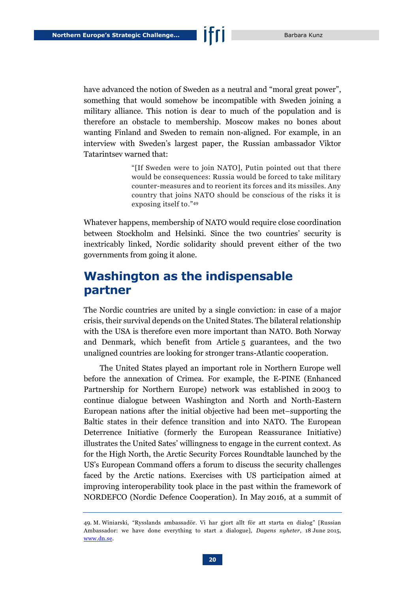have advanced the notion of Sweden as a neutral and "moral great power", something that would somehow be incompatible with Sweden joining a military alliance. This notion is dear to much of the population and is therefore an obstacle to membership. Moscow makes no bones about wanting Finland and Sweden to remain non-aligned. For example, in an interview with Sweden's largest paper, the Russian ambassador Viktor Tatarintsev warned that:

> "[If Sweden were to join NATO], Putin pointed out that there would be consequences: Russia would be forced to take military counter-measures and to reorient its forces and its missiles. Any country that joins NATO should be conscious of the risks it is exposing itself to." 49

Whatever happens, membership of NATO would require close coordination between Stockholm and Helsinki. Since the two countries' security is inextricably linked, Nordic solidarity should prevent either of the two governments from going it alone.

#### **Washington as the indispensable partner**

The Nordic countries are united by a single conviction: in case of a major crisis, their survival depends on the United States. The bilateral relationship with the USA is therefore even more important than NATO. Both Norway and Denmark, which benefit from Article 5 guarantees, and the two unaligned countries are looking for stronger trans-Atlantic cooperation.

The United States played an important role in Northern Europe well before the annexation of Crimea. For example, the E-PINE (Enhanced Partnership for Northern Europe) network was established in 2003 to continue dialogue between Washington and North and North-Eastern European nations after the initial objective had been met–supporting the Baltic states in their defence transition and into NATO. The European Deterrence Initiative (formerly the European Reassurance Initiative) illustrates the United Sates' willingness to engage in the current context. As for the High North, the Arctic Security Forces Roundtable launched by the US's European Command offers a forum to discuss the security challenges faced by the Arctic nations. Exercises with US participation aimed at improving interoperability took place in the past within the framework of NORDEFCO (Nordic Defence Cooperation). In May 2016, at a summit of

<sup>49.</sup> M. Winiarski, "Rysslands ambassadör. Vi har gjort allt för att starta en dialog" [Russian Ambassador: we have done everything to start a dialogue], *Dagens nyheter*, 18 June 2015, [www.dn.se.](http://www.dn.se/nyheter/sverige/rysslands-ambassador-vi-har-gjort-allt-for-att-starta-en-dialog)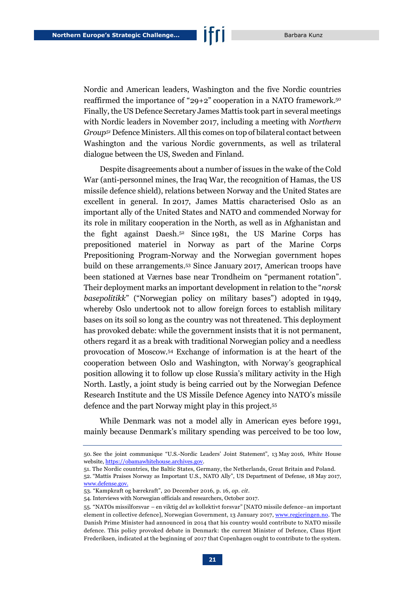Nordic and American leaders, Washington and the five Nordic countries reaffirmed the importance of "29+2" cooperation in a NATO framework. 50 Finally, the US Defence Secretary James Mattis took part in several meetings with Nordic leaders in November 2017, including a meeting with *Northern Group<sup>51</sup>* Defence Ministers. All this comes on top of bilateral contact between Washington and the various Nordic governments, as well as trilateral dialogue between the US, Sweden and Finland.

Despite disagreements about a number of issues in the wake of the Cold War (anti-personnel mines, the Iraq War, the recognition of Hamas, the US missile defence shield), relations between Norway and the United States are excellent in general. In 2017, James Mattis characterised Oslo as an important ally of the United States and NATO and commended Norway for its role in military cooperation in the North, as well as in Afghanistan and the fight against Daesh.<sup>52</sup> Since 1981, the US Marine Corps has prepositioned materiel in Norway as part of the Marine Corps Prepositioning Program-Norway and the Norwegian government hopes build on these arrangements. <sup>53</sup> Since January 2017, American troops have been stationed at Værnes base near Trondheim on "permanent rotation". Their deployment marks an important development in relation to the "*norsk basepolitikk*" ("Norwegian policy on military bases") adopted in 1949, whereby Oslo undertook not to allow foreign forces to establish military bases on its soil so long as the country was not threatened. This deployment has provoked debate: while the government insists that it is not permanent, others regard it as a break with traditional Norwegian policy and a needless provocation of Moscow.<sup>54</sup> Exchange of information is at the heart of the cooperation between Oslo and Washington, with Norway's geographical position allowing it to follow up close Russia's military activity in the High North. Lastly, a joint study is being carried out by the Norwegian Defence Research Institute and the US Missile Defence Agency into NATO's missile defence and the part Norway might play in this project.<sup>55</sup>

While Denmark was not a model ally in American eyes before 1991, mainly because Denmark's military spending was perceived to be too low,

<sup>50.</sup> See the joint communique "U.S.-Nordic Leaders' Joint Statement", 13 May 2016, *White* House website, [https://obamawhitehouse.archives.gov.](https://obamawhitehouse.archives.gov/the-press-office/2016/05/13/us-nordic-leaders-summit-joint-statement)

<sup>51.</sup> The Nordic countries, the Baltic States, Germany, the Netherlands, Great Britain and Poland.

<sup>52.</sup> "Mattis Praises Norway as Important U.S., NATO Ally", US Department of Defense, 18 May 2017, [www.defense.gov.](https://www.defense.gov/News/Article/Article/1186266/mattis-praises-norway-as-important-us-nato-ally/)

<sup>53.</sup> "Kampkraft og bærekraft", 20 December 2016, p. 16, *op. cit*.

<sup>54.</sup> Interviews with Norwegian officials and researchers, October 2017.

<sup>55.</sup> "NATOs missilforsvar – en viktig del av kollektivt forsvar" [NATO missile defence–an important element in collective defence], Norwegian Government, 13 January 2017[, www.regjeringen.no.](https://www.regjeringen.no/no/aktuelt/missilforsvar/id2527111/) The Danish Prime Minister had announced in 2014 that his country would contribute to NATO missile defence. This policy provoked debate in Denmark: the current Minister of Defence, Claus Hjort Frederiksen, indicated at the beginning of 2017 that Copenhagen ought to contribute to the system.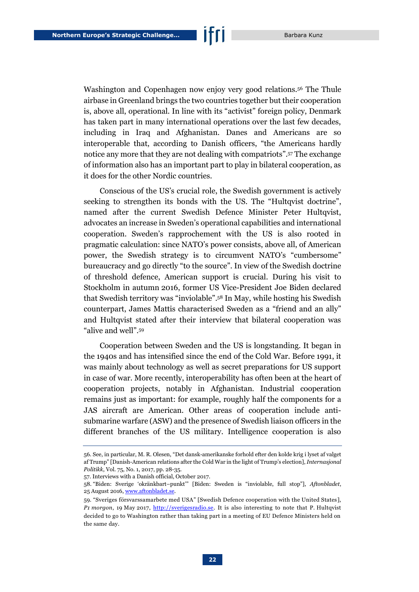Washington and Copenhagen now enjoy very good relations.<sup>56</sup> The Thule airbase in Greenland brings the two countries together but their cooperation is, above all, operational. In line with its "activist" foreign policy, Denmark has taken part in many international operations over the last few decades, including in Iraq and Afghanistan. Danes and Americans are so interoperable that, according to Danish officers, "the Americans hardly notice any more that they are not dealing with compatriots". <sup>57</sup> The exchange of information also has an important part to play in bilateral cooperation, as it does for the other Nordic countries.

Conscious of the US's crucial role, the Swedish government is actively seeking to strengthen its bonds with the US. The "Hultqvist doctrine", named after the current Swedish Defence Minister Peter Hultqvist, advocates an increase in Sweden's operational capabilities and international cooperation. Sweden's rapprochement with the US is also rooted in pragmatic calculation: since NATO's power consists, above all, of American power, the Swedish strategy is to circumvent NATO's "cumbersome" bureaucracy and go directly "to the source". In view of the Swedish doctrine of threshold defence, American support is crucial. During his visit to Stockholm in autumn 2016, former US Vice-President Joe Biden declared that Swedish territory was "inviolable". <sup>58</sup> In May, while hosting his Swedish counterpart, James Mattis characterised Sweden as a "friend and an ally" and Hultqvist stated after their interview that bilateral cooperation was "alive and well". 59

Cooperation between Sweden and the US is longstanding. It began in the 1940s and has intensified since the end of the Cold War. Before 1991, it was mainly about technology as well as secret preparations for US support in case of war. More recently, interoperability has often been at the heart of cooperation projects, notably in Afghanistan. Industrial cooperation remains just as important: for example, roughly half the components for a JAS aircraft are American. Other areas of cooperation include antisubmarine warfare (ASW) and the presence of Swedish liaison officers in the different branches of the US military. Intelligence cooperation is also

<sup>56.</sup> See, in particular, M. R. Olesen, "Det dansk-amerikanske forhold efter den kolde krig i lyset af valget af Trump" [Danish-American relations after the Cold War in the light of Trump's election], *Internasjonal Politikk*, Vol. 75, No. 1, 2017, pp. 28-35.

<sup>57.</sup> Interviews with a Danish official, October 2017.

<sup>58.</sup> "Biden: Sverige 'okränkbart–punkt'" [Biden: Sweden is "inviolable, full stop"], *Aftonbladet*, 25 August 2016[, www.aftonbladet.se.](https://www.aftonbladet.se/senastenytt/ttnyheter/inrikes/article23405759.ab)

<sup>59.</sup> "Sveriges försvarssamarbete med USA" [Swedish Defence cooperation with the United States], P1 *morgon*, 19 May 2017, [http://sverigesradio.se.](http://sverigesradio.se/sida/artikel.aspx?programid=1650&artikel=6699452) It is also interesting to note that P. Hultqvist decided to go to Washington rather than taking part in a meeting of EU Defence Ministers held on the same day.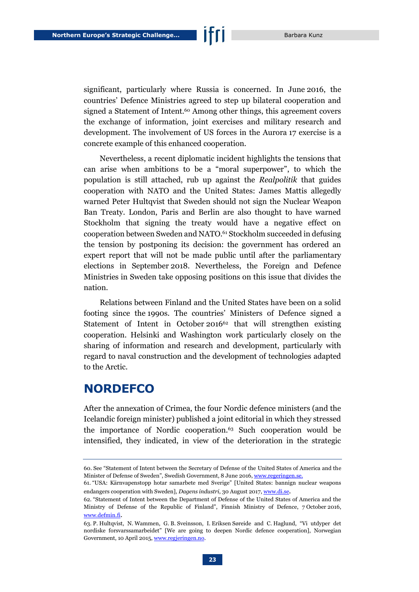significant, particularly where Russia is concerned. In June 2016, the countries' Defence Ministries agreed to step up bilateral cooperation and signed a Statement of Intent.<sup>60</sup> Among other things, this agreement covers the exchange of information, joint exercises and military research and development. The involvement of US forces in the Aurora 17 exercise is a concrete example of this enhanced cooperation.

Nevertheless, a recent diplomatic incident highlights the tensions that can arise when ambitions to be a "moral superpower", to which the population is still attached, rub up against the *Realpolitik* that guides cooperation with NATO and the United States: James Mattis allegedly warned Peter Hultqvist that Sweden should not sign the Nuclear Weapon Ban Treaty. London, Paris and Berlin are also thought to have warned Stockholm that signing the treaty would have a negative effect on cooperation between Sweden and NATO.<sup>61</sup> Stockholm succeeded in defusing the tension by postponing its decision: the government has ordered an expert report that will not be made public until after the parliamentary elections in September 2018. Nevertheless, the Foreign and Defence Ministries in Sweden take opposing positions on this issue that divides the nation.

Relations between Finland and the United States have been on a solid footing since the 1990s. The countries' Ministers of Defence signed a Statement of Intent in October 2016<sup>62</sup> that will strengthen existing cooperation. Helsinki and Washington work particularly closely on the sharing of information and research and development, particularly with regard to naval construction and the development of technologies adapted to the Arctic.

#### **NORDEFCO**

After the annexation of Crimea, the four Nordic defence ministers (and the Icelandic foreign minister) published a joint editorial in which they stressed the importance of Nordic cooperation.<sup>63</sup> Such cooperation would be intensified, they indicated, in view of the deterioration in the strategic

<sup>60.</sup> See "Statement of Intent between the Secretary of Defense of the United States of America and the Minister of Defense of Sweden", Swedish Government, 8 June 2016[, www.regeringen.se.](http://www.regeringen.se/49d2af/globalassets/regeringen/dokument/forsvarsdepartementet/statement-of-intent-swe_us-20160608_signed.pdf)

<sup>61.</sup> "USA: Kärnvapenstopp hotar samarbete med Sverige" [United States: bannign nuclear weapons endangers cooperation with Sweden], *Dagens industri*, 30 August 2017[, www.di.se](https://www.di.se/nyheter/usa-karnvapenstopp-hotar-samarbete-med-sverige/).

<sup>62.</sup> "Statement of Intent between the Department of Defense of the United States of America and the Ministry of Defense of the Republic of Finland", Finnish Ministry of Defence, 7 October 2016, [www.defmin.fi](http://www.defmin.fi/files/3543/Statement_of_Intent.pdf).

<sup>63.</sup> P. Hultqvist, N. Wammen, G. B. Sveinsson, I. Eriksen Søreide and C. Haglund, "Vi utdyper det nordiske forsvarssamarbeidet" [We are going to deepen Nordic defence cooperation], Norwegian Government, 10 April 2015[, www.regjeringen.no.](https://www.regjeringen.no/no/aktuelt/vi-utdyper-det-nordiske-forsvarssamarbeidet/id2404378/)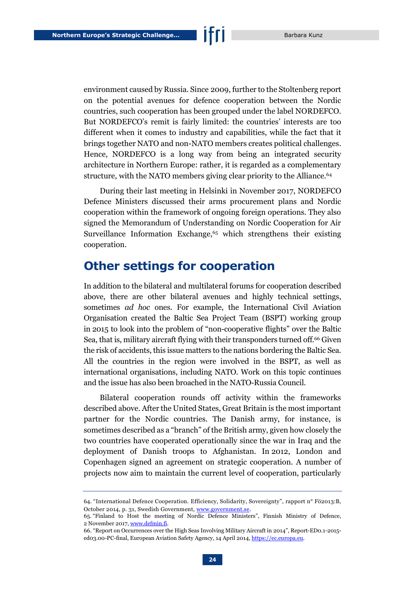environment caused by Russia. Since 2009, further to the Stoltenberg report on the potential avenues for defence cooperation between the Nordic countries, such cooperation has been grouped under the label NORDEFCO. But NORDEFCO's remit is fairly limited: the countries' interests are too different when it comes to industry and capabilities, while the fact that it brings together NATO and non-NATO members creates political challenges. Hence, NORDEFCO is a long way from being an integrated security architecture in Northern Europe: rather, it is regarded as a complementary structure, with the NATO members giving clear priority to the Alliance.<sup>64</sup>

During their last meeting in Helsinki in November 2017, NORDEFCO Defence Ministers discussed their arms procurement plans and Nordic cooperation within the framework of ongoing foreign operations. They also signed the Memorandum of Understanding on Nordic Cooperation for Air Surveillance Information Exchange, <sup>65</sup> which strengthens their existing cooperation.

#### **Other settings for cooperation**

In addition to the bilateral and multilateral forums for cooperation described above, there are other bilateral avenues and highly technical settings, sometimes *ad hoc* ones. For example, the International Civil Aviation Organisation created the Baltic Sea Project Team (BSPT) working group in 2015 to look into the problem of "non-cooperative flights" over the Baltic Sea, that is, military aircraft flying with their transponders turned off.<sup>66</sup> Given the risk of accidents, this issue matters to the nations bordering the Baltic Sea. All the countries in the region were involved in the BSPT, as well as international organisations, including NATO. Work on this topic continues and the issue has also been broached in the NATO-Russia Council.

Bilateral cooperation rounds off activity within the frameworks described above. After the United States, Great Britain is the most important partner for the Nordic countries. The Danish army, for instance, is sometimes described as a "branch" of the British army, given how closely the two countries have cooperated operationally since the war in Iraq and the deployment of Danish troops to Afghanistan. In 2012, London and Copenhagen signed an agreement on strategic cooperation. A number of projects now aim to maintain the current level of cooperation, particularly

<sup>64.</sup> "International Defence Cooperation. Efficiency, Solidarity, Sovereignty", rapport n° Fö2013:B, October 2014, p. 31, Swedish Government, [www.government.se.](http://www.government.se/contentassets/5c39a5fe2c2745f18c8e42322af4fbc4/international-defence-cooperation---efficiency-solidarity-sovereignty)

<sup>65.</sup> "Finland to Host the meeting of Nordic Defence Ministers", Finnish Ministry of Defence, 2 November 2017[, www.defmin.fi.](http://www.defmin.fi/en/topical/press_releases?588_m=8823)

<sup>66.</sup> "Report on Occurrences over the High Seas Involving Military Aircraft in 2014", Report-ED0.1-2015 ed03.00-PC-final, European Aviation Safety Agency, 14 April 2014[, https://ec.europa.eu.](https://ec.europa.eu/transport/sites/transport/files/modes/air/news/doc/2015-04-14-civil-military-coordination/report-on-occurrences-over-the-high-seas-involving-military-aircraft-in-2014.pdf)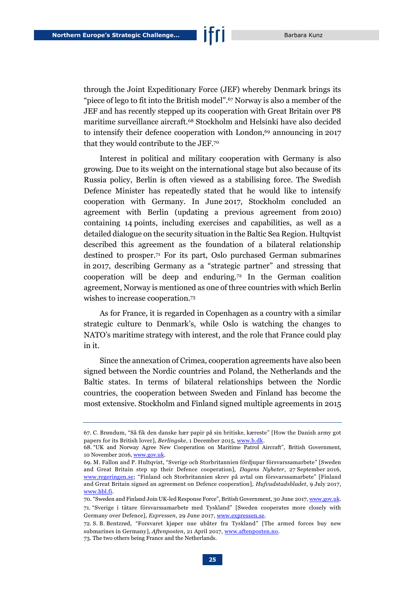through the Joint Expeditionary Force (JEF) whereby Denmark brings its "piece of lego to fit into the British model". <sup>67</sup> Norway is also a member of the JEF and has recently stepped up its cooperation with Great Britain over P8 maritime surveillance aircraft.<sup>68</sup> Stockholm and Helsinki have also decided to intensify their defence cooperation with London, <sup>69</sup> announcing in 2017 that they would contribute to the JEF.<sup>70</sup>

Interest in political and military cooperation with Germany is also growing. Due to its weight on the international stage but also because of its Russia policy, Berlin is often viewed as a stabilising force. The Swedish Defence Minister has repeatedly stated that he would like to intensify cooperation with Germany. In June 2017, Stockholm concluded an agreement with Berlin (updating a previous agreement from 2010) containing 14 points, including exercises and capabilities, as well as a detailed dialogue on the security situation in the Baltic Sea Region. Hultqvist described this agreement as the foundation of a bilateral relationship destined to prosper.<sup>71</sup> For its part, Oslo purchased German submarines in 2017, describing Germany as a "strategic partner" and stressing that cooperation will be deep and enduring.<sup>72</sup> In the German coalition agreement, Norway is mentioned as one of three countries with which Berlin wishes to increase cooperation.<sup>73</sup>

As for France, it is regarded in Copenhagen as a country with a similar strategic culture to Denmark's, while Oslo is watching the changes to NATO's maritime strategy with interest, and the role that France could play in it.

Since the annexation of Crimea, cooperation agreements have also been signed between the Nordic countries and Poland, the Netherlands and the Baltic states. In terms of bilateral relationships between the Nordic countries, the cooperation between Sweden and Finland has become the most extensive. Stockholm and Finland signed multiple agreements in 2015

<sup>67.</sup> C. Brøndum, "Så fik den danske hær papir på sin britiske, kæreste" [How the Danish army got papers for its British lover], *Berlingske*, 1 December 2015, [www.b.dk.](https://www.b.dk/nationalt/saa-fik-den-danske-haer-papir-paa-sin-britiske-kaereste)

<sup>68.</sup> "UK and Norway Agree New Cooperation on Maritime Patrol Aircraft", British Government, 10 November 2016, www.gov.uk

<sup>69.</sup> M. Fallon and P. Hultqvist, "Sverige och Storbritannien fördjupar försvarssamarbete" [Sweden and Great Britain step up their Defence cooperation], *Dagens Nyheter*, 27 September 2016, [www.regeringen.se;](http://www.regeringen.se/debattartiklar/2016/09/sverige-och-storbritannien-fordjupar-forsvarssamarbetet/) "Finland och Storbritannien skrev på avtal om försvarssamarbete" [Finland and Great Britain signed an agreement on Defence cooperation], *Hufvudstadsbladet*, 9 July 2017, [www.hbl.fi.](https://www.hbl.fi/artikel/finland-och-storbritannien-skrev-pa-avtal-om-forsvarssamarbete/)

<sup>70.</sup> "Sweden and Finland Join UK-led Response Force", British Government, 30 June 2017[, www.gov.uk.](https://www.gov.uk/government/news/sweden-and-finland-join-uk-led-response-force) 71. "Sverige i tätare försvarssamarbete med Tyskland" [Sweden cooperates more closely with

Germany over Defence], *Expressen*, 29 June 2017, [www.expressen.se.](https://www.expressen.se/nyheter/sverige-i-tatare-forsvarssamarbete-med-tyskland) 72. S. B. Bentzrød, "Forsvaret kjøper nue ubåter fra Tyskland" [The armed forces buy new

submarines in Germany], *Aftenposten*, 21 April 2017, [www.aftenposten.no.](https://www.aftenposten.no/norge/i/7krXv/Forsvaret-kjoper-nye-ubater-fra-Tyskland) 73. The two others being France and the Netherlands.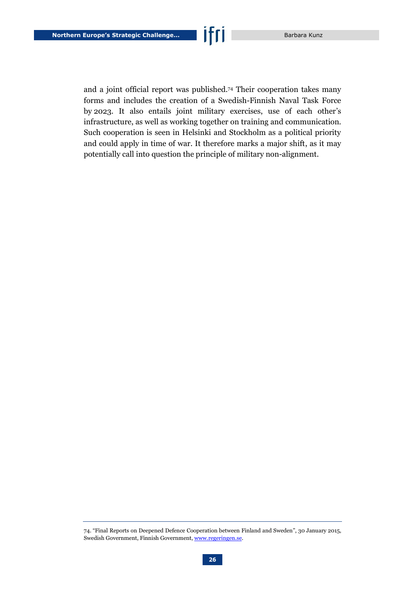and a joint official report was published.<sup>74</sup> Their cooperation takes many forms and includes the creation of a Swedish-Finnish Naval Task Force by 2023. It also entails joint military exercises, use of each other's infrastructure, as well as working together on training and communication. Such cooperation is seen in Helsinki and Stockholm as a political priority and could apply in time of war. It therefore marks a major shift, as it may potentially call into question the principle of military non-alignment.

<sup>74.</sup> "Final Reports on Deepened Defence Cooperation between Finland and Sweden", 30 January 2015, Swedish Government, Finnish Government[, www.regeringen.se.](http://www.regeringen.se/globalassets/regeringen/dokument/forsvarsdepartementet/final-reports-on-deepened-defence-cooperation-between-finland-och-sweden.pdf)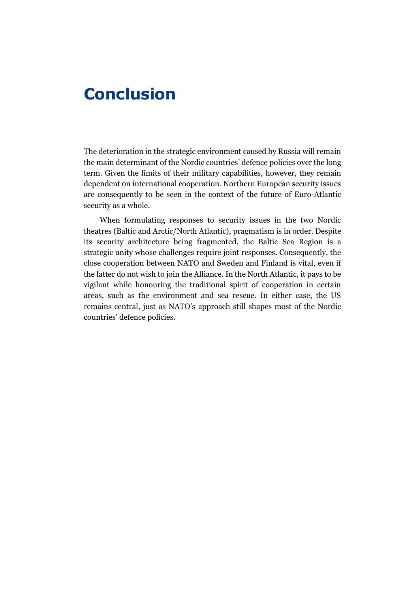### <span id="page-27-0"></span>**Conclusion**

The deterioration in the strategic environment caused by Russia will remain the main determinant of the Nordic countries' defence policies over the long term. Given the limits of their military capabilities, however, they remain dependent on international cooperation. Northern European security issues are consequently to be seen in the context of the future of Euro-Atlantic security as a whole.

When formulating responses to security issues in the two Nordic theatres (Baltic and Arctic/North Atlantic), pragmatism is in order. Despite its security architecture being fragmented, the Baltic Sea Region is a strategic unity whose challenges require joint responses. Consequently, the close cooperation between NATO and Sweden and Finland is vital, even if the latter do not wish to join the Alliance. In the North Atlantic, it pays to be vigilant while honouring the traditional spirit of cooperation in certain areas, such as the environment and sea rescue. In either case, the US remains central, just as NATO's approach still shapes most of the Nordic countries' defence policies.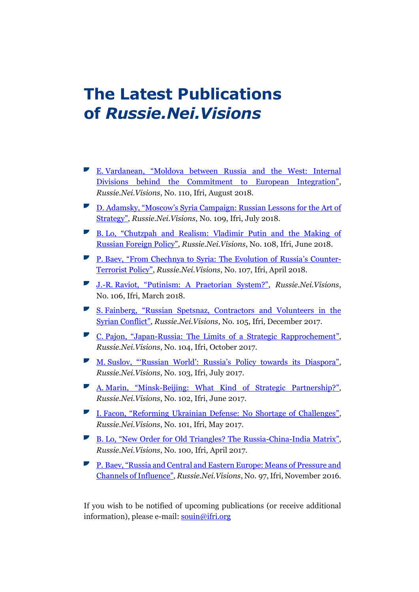### **The Latest Publications of** *Russie.Nei.Visions*

- E. [Vardanean, "Moldova between Russia and the West: Internal](https://www.ifri.org/en/publications/notes-de-lifri/russieneivisions/moldova-between-russia-and-west-internal-divisions)  [Divisions behind the Commitment to European Integration"](https://www.ifri.org/en/publications/notes-de-lifri/russieneivisions/moldova-between-russia-and-west-internal-divisions), *Russie.Nei.Visions*, No. 110, Ifri, August 2018.
- D. Adamsky, "Moscow'[s Syria Campaign: Russian Lessons for the Art of](https://www.ifri.org/en/publications/notes-de-lifri/russieneivisions/moscows-syria-campaign-russian-lessons-art-strategy)  [Strategy"](https://www.ifri.org/en/publications/notes-de-lifri/russieneivisions/moscows-syria-campaign-russian-lessons-art-strategy), *Russie.Nei.Visions*, No. 109, Ifri, July 2018.
- B. [Lo, "Chutzpah and Realism: Vladimir Putin and the Making of](https://www.ifri.org/en/publications/notes-de-lifri/russieneivisions/chutzpah-and-realism-vladimir-putin-and-making-russian)  [Russian Foreign Policy"](https://www.ifri.org/en/publications/notes-de-lifri/russieneivisions/chutzpah-and-realism-vladimir-putin-and-making-russian), *Russie.Nei.Visions*, No. 108, Ifri, June 2018.
- P. [Baev, "From Chechnya to Syria: The Evolution of Russia'](https://www.ifri.org/en/publications/notes-de-lifri/russieneivisions/chechnya-syria-evolution-russias-counter-terrorist)s Counter-[Terrorist Policy"](https://www.ifri.org/en/publications/notes-de-lifri/russieneivisions/chechnya-syria-evolution-russias-counter-terrorist), *Russie.Nei.Visions*, No. 107, Ifri, April 2018.
- J.-R. [Raviot, "Putinism: A Praetorian System?"](https://www.ifri.org/en/publications/notes-de-lifri/russieneivisions/putinism-praetorian-system), *Russie.Nei.Visions*, No. 106, Ifri, March 2018.
- S. [Fainberg, "Russian Spetsnaz, Contractors and Volunteers in the](https://www.ifri.org/en/publications/notes-de-lifri/russieneivisions/russian-spetsnaz-contractors-and-volunteers-syrian)  [Syrian Conflict"](https://www.ifri.org/en/publications/notes-de-lifri/russieneivisions/russian-spetsnaz-contractors-and-volunteers-syrian), *Russie.Nei.Visions*, No. 105, Ifri, December 2017.
- C. Pajon, "Japan[-Russia: The Limits of a Strategic Rapprochement](https://www.ifri.org/en/publications/notes-de-lifri/russieneivisions/japan-russia-limits-strategic-rapprochement#sthash.S62Suziy.dpbs)", *Russie.Nei.Visions*, No. 104, Ifri, October 2017.
- M. Suslov, "'Russian World': Russia['s Policy towards its Diaspora"](https://www.ifri.org/en/publications/notes-de-lifri/russieneivisions/russian-world-russias-policy-towards-its-diaspora#sthash.lfT8H8nK.dpbs), *Russie.Nei.Visions*, No. 103, Ifri, July 2017.
- A. Marin, "Minsk[-Beijing: What Kind of Strategic Partnership?](https://www.ifri.org/en/publications/notes-de-lifri/russieneivisions/minsk-beijing-what-kind-strategic-partnership#sthash.QXTyd2W8.dpbs)", *Russie.Nei.Visions*, No. 102, Ifri, June 2017.
- I. [Facon, "Reforming Ukrainian Defense: No Shortage of Challenges"](https://www.ifri.org/en/publications/notes-de-lifri/russieneivisions/reforming-ukrainian-defense-no-shortage-challenges), *Russie.Nei.Visions*, No. 101, Ifri, May 2017.
- B. [Lo, "New Order for Old Triangles? The Russia](https://www.ifri.org/en/publications/notes-de-lifri/russieneivisions/new-order-old-triangles-russia-china-india-matrix)-China-India Matrix", *Russie.Nei.Visions*, No. 100, Ifri, April 2017.
- P. [Baev, "Russia and Central and Eastern Europe: Means of Pressure and](https://www.ifri.org/en/publications/notes-de-lifri/russieneivisions/russia-and-central-and-eastern-europe-between)  [Channels of Influence"](https://www.ifri.org/en/publications/notes-de-lifri/russieneivisions/russia-and-central-and-eastern-europe-between), *Russie.Nei.Visions*, No. 97, Ifri, November 2016.

If you wish to be notified of upcoming publications (or receive additional information), please e-mail: [souin@ifri.org](mailto:souin@ifri.org)